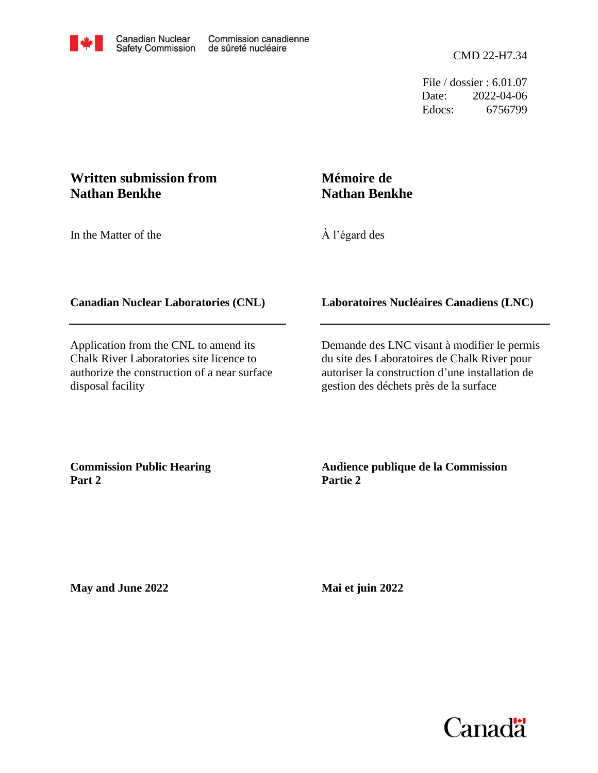

Edocs: 6756799 Date: 2022-04-06 File / dossier : 6.01.07

# **Written submission from Nathan Benkhe**

In the Matter of the

# **Mémoire de Nathan Benkhe**

À l'égard des

## **Canadian Nuclear Laboratories (CNL)**

Application from the CNL to amend its Chalk River Laboratories site licence to authorize the construction of a near surface disposal facility

### **Laboratoires Nucléaires Canadiens (LNC)**

Demande des LNC visant à modifier le permis du site des Laboratoires de Chalk River pour autoriser la construction d'une installation de gestion des déchets près de la surface

**Commission Public Hearing Part 2**

**Audience publique de la Commission Partie 2**

**May and June 2022**

**Mai et juin 2022**